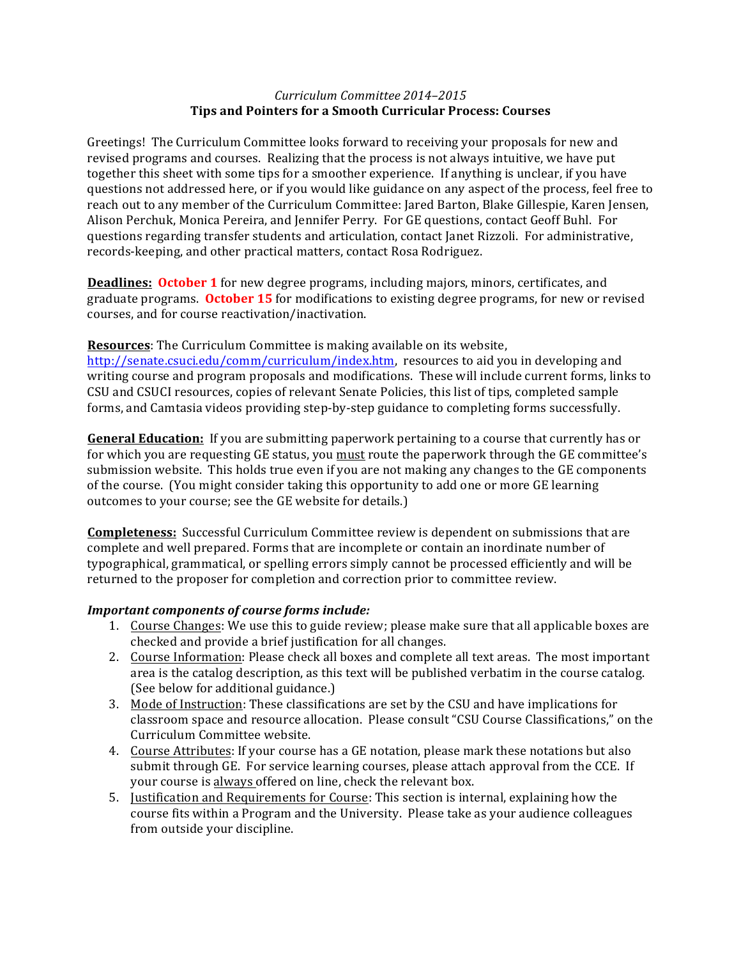## *Curriculum Committee 2014–2015* **Tips and Pointers for a Smooth Curricular Process: Courses**

Greetings! The Curriculum Committee looks forward to receiving your proposals for new and revised programs and courses. Realizing that the process is not always intuitive, we have put together this sheet with some tips for a smoother experience. If anything is unclear, if you have questions not addressed here, or if you would like guidance on any aspect of the process, feel free to reach out to any member of the Curriculum Committee: Jared Barton, Blake Gillespie, Karen Jensen, Alison Perchuk, Monica Pereira, and Jennifer Perry. For GE questions, contact Geoff Buhl. For questions regarding transfer students and articulation, contact Janet Rizzoli. For administrative, records-keeping, and other practical matters, contact Rosa Rodriguez.

**Deadlines: October 1** for new degree programs, including majors, minors, certificates, and graduate programs. October 15 for modifications to existing degree programs, for new or revised courses, and for course reactivation/inactivation.

## **Resources:** The Curriculum Committee is making available on its website,

http://senate.csuci.edu/comm/curriculum/index.htm, resources to aid you in developing and writing course and program proposals and modifications. These will include current forms, links to CSU and CSUCI resources, copies of relevant Senate Policies, this list of tips, completed sample forms, and Camtasia videos providing step-by-step guidance to completing forms successfully.

**General Education:** If you are submitting paperwork pertaining to a course that currently has or for which you are requesting GE status, you must route the paperwork through the GE committee's submission website. This holds true even if you are not making any changes to the GE components of the course. (You might consider taking this opportunity to add one or more GE learning outcomes to your course; see the GE website for details.)

**Completeness:** Successful Curriculum Committee review is dependent on submissions that are complete and well prepared. Forms that are incomplete or contain an inordinate number of typographical, grammatical, or spelling errors simply cannot be processed efficiently and will be returned to the proposer for completion and correction prior to committee review.

## **Important components of course forms include:**

- 1. Course Changes: We use this to guide review; please make sure that all applicable boxes are checked and provide a brief justification for all changes.
- 2. Course Information: Please check all boxes and complete all text areas. The most important area is the catalog description, as this text will be published verbatim in the course catalog. (See below for additional guidance.)
- 3. Mode of Instruction: These classifications are set by the CSU and have implications for classroom space and resource allocation. Please consult "CSU Course Classifications," on the Curriculum Committee website.
- 4. Course Attributes: If your course has a GE notation, please mark these notations but also submit through GE. For service learning courses, please attach approval from the CCE. If your course is always offered on line, check the relevant box.
- 5. Justification and Requirements for Course: This section is internal, explaining how the course fits within a Program and the University. Please take as your audience colleagues from outside your discipline.